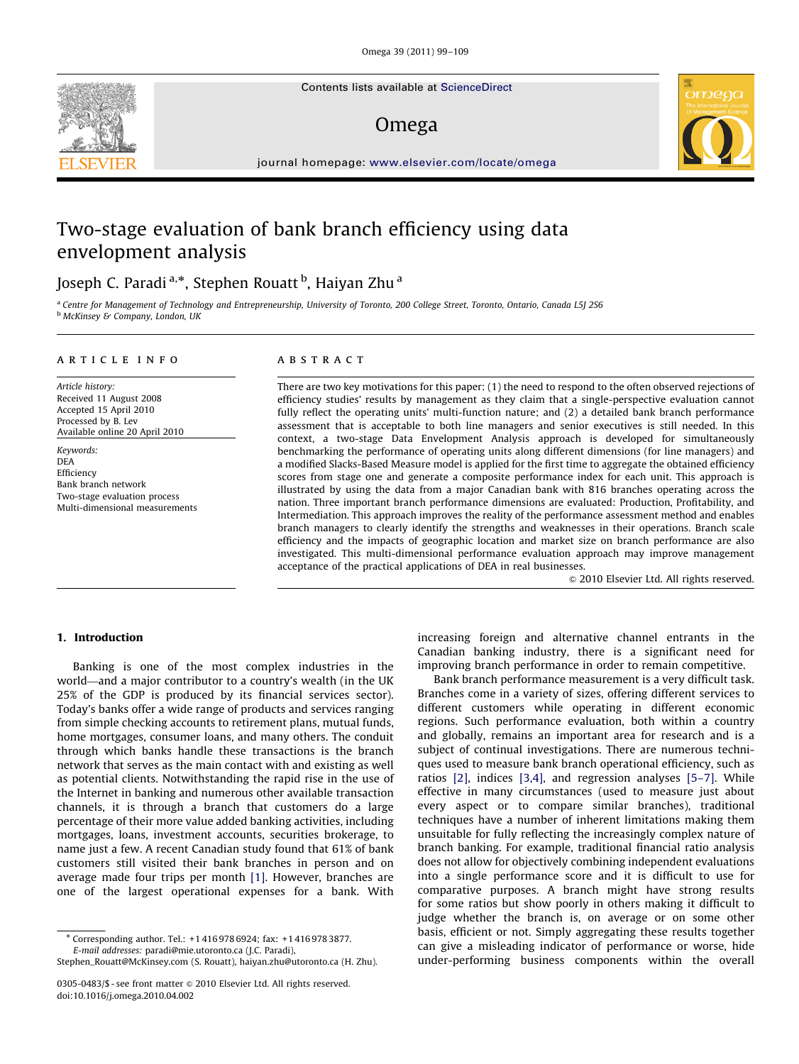Contents lists available at ScienceDirect

### Omega



journal homepage: [www.elsevier.com/locate/omega](www.elsevier.com/ome)

## Two-stage evaluation of bank branch efficiency using data envelopment analysis

### Joseph C. Paradi <sup>a,</sup>\*, Stephen Rouatt <sup>b</sup>, Haiyan Zhu <sup>a</sup>

a Centre for Management of Technology and Entrepreneurship, University of Toronto, 200 College Street, Toronto, Ontario, Canada L5J 2S6 <sup>b</sup> McKinsey & Company, London, UK

#### article info

Article history: Received 11 August 2008 Accepted 15 April 2010 Processed by B. Lev Available online 20 April 2010

Keywords: DEA Efficiency Bank branch network Two-stage evaluation process Multi-dimensional measurements

### **ABSTRACT**

There are two key motivations for this paper: (1) the need to respond to the often observed rejections of efficiency studies' results by management as they claim that a single-perspective evaluation cannot fully reflect the operating units' multi-function nature; and (2) a detailed bank branch performance assessment that is acceptable to both line managers and senior executives is still needed. In this context, a two-stage Data Envelopment Analysis approach is developed for simultaneously benchmarking the performance of operating units along different dimensions (for line managers) and a modified Slacks-Based Measure model is applied for the first time to aggregate the obtained efficiency scores from stage one and generate a composite performance index for each unit. This approach is illustrated by using the data from a major Canadian bank with 816 branches operating across the nation. Three important branch performance dimensions are evaluated: Production, Profitability, and Intermediation. This approach improves the reality of the performance assessment method and enables branch managers to clearly identify the strengths and weaknesses in their operations. Branch scale efficiency and the impacts of geographic location and market size on branch performance are also investigated. This multi-dimensional performance evaluation approach may improve management acceptance of the practical applications of DEA in real businesses.

 $©$  2010 Elsevier Ltd. All rights reserved.

### 1. Introduction

Banking is one of the most complex industries in the world—and a major contributor to a country's wealth (in the UK 25% of the GDP is produced by its financial services sector). Today's banks offer a wide range of products and services ranging from simple checking accounts to retirement plans, mutual funds, home mortgages, consumer loans, and many others. The conduit through which banks handle these transactions is the branch network that serves as the main contact with and existing as well as potential clients. Notwithstanding the rapid rise in the use of the Internet in banking and numerous other available transaction channels, it is through a branch that customers do a large percentage of their more value added banking activities, including mortgages, loans, investment accounts, securities brokerage, to name just a few. A recent Canadian study found that 61% of bank customers still visited their bank branches in person and on average made four trips per month [\[1\].](#page--1-0) However, branches are one of the largest operational expenses for a bank. With

- Corresponding author. Tel.: +1 416 978 6924; fax: +1 416 978 3877. E-mail addresses: [paradi@mie.utoronto.ca \(J.C. Paradi\),](mailto:paradi@mie.utoronto.ca)

[Stephen\\_Rouatt@McKinsey.com \(S. Rouatt\),](mailto:Stephen_Rouatt@McKinsey.com) [haiyan.zhu@utoronto.ca \(H. Zhu\)](mailto:haiyan.zhu@utoronto.ca).

increasing foreign and alternative channel entrants in the Canadian banking industry, there is a significant need for improving branch performance in order to remain competitive.

Bank branch performance measurement is a very difficult task. Branches come in a variety of sizes, offering different services to different customers while operating in different economic regions. Such performance evaluation, both within a country and globally, remains an important area for research and is a subject of continual investigations. There are numerous techniques used to measure bank branch operational efficiency, such as ratios [\[2\],](#page--1-0) indices [\[3,4\],](#page--1-0) and regression analyses [\[5–7\].](#page--1-0) While effective in many circumstances (used to measure just about every aspect or to compare similar branches), traditional techniques have a number of inherent limitations making them unsuitable for fully reflecting the increasingly complex nature of branch banking. For example, traditional financial ratio analysis does not allow for objectively combining independent evaluations into a single performance score and it is difficult to use for comparative purposes. A branch might have strong results for some ratios but show poorly in others making it difficult to judge whether the branch is, on average or on some other basis, efficient or not. Simply aggregating these results together can give a misleading indicator of performance or worse, hide under-performing business components within the overall



<sup>0305-0483/\$ -</sup> see front matter @ 2010 Elsevier Ltd. All rights reserved. doi:[10.1016/j.omega.2010.04.002](dx.doi.org/10.1016/j.omega.2010.04.002)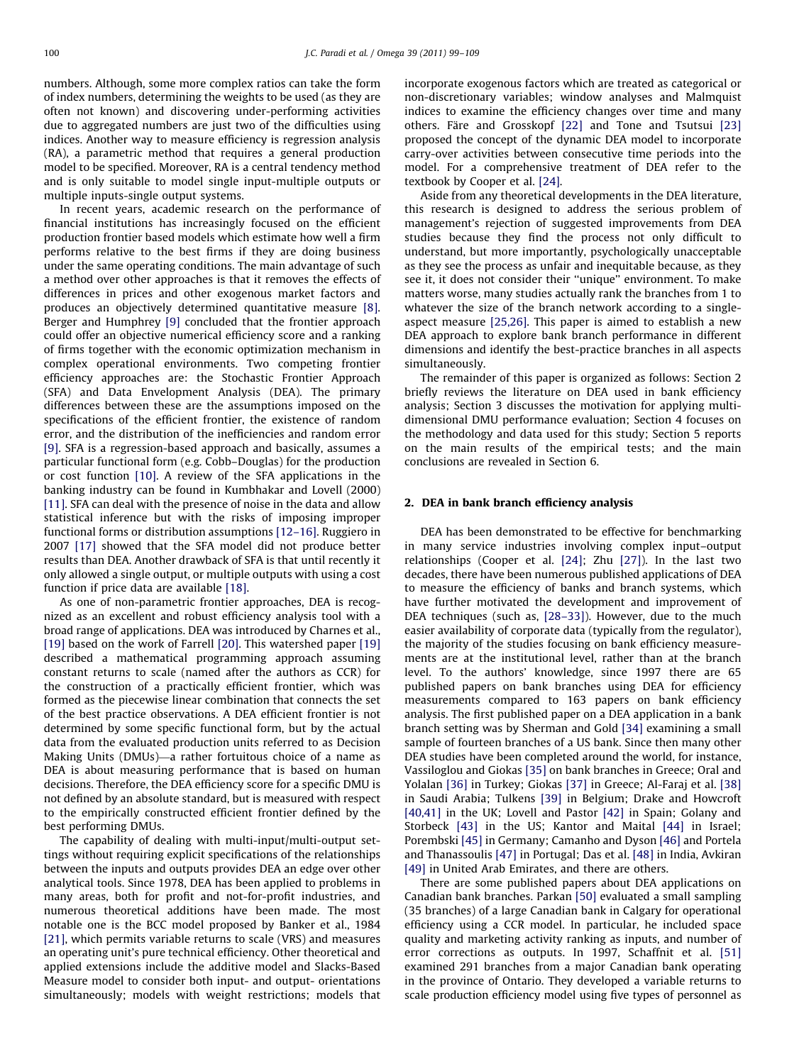numbers. Although, some more complex ratios can take the form of index numbers, determining the weights to be used (as they are often not known) and discovering under-performing activities due to aggregated numbers are just two of the difficulties using indices. Another way to measure efficiency is regression analysis (RA), a parametric method that requires a general production model to be specified. Moreover, RA is a central tendency method and is only suitable to model single input-multiple outputs or multiple inputs-single output systems.

In recent years, academic research on the performance of financial institutions has increasingly focused on the efficient production frontier based models which estimate how well a firm performs relative to the best firms if they are doing business under the same operating conditions. The main advantage of such a method over other approaches is that it removes the effects of differences in prices and other exogenous market factors and produces an objectively determined quantitative measure [\[8\].](#page--1-0) Berger and Humphrey [\[9\]](#page--1-0) concluded that the frontier approach could offer an objective numerical efficiency score and a ranking of firms together with the economic optimization mechanism in complex operational environments. Two competing frontier efficiency approaches are: the Stochastic Frontier Approach (SFA) and Data Envelopment Analysis (DEA). The primary differences between these are the assumptions imposed on the specifications of the efficient frontier, the existence of random error, and the distribution of the inefficiencies and random error [\[9\].](#page--1-0) SFA is a regression-based approach and basically, assumes a particular functional form (e.g. Cobb–Douglas) for the production or cost function [\[10\]](#page--1-0). A review of the SFA applications in the banking industry can be found in Kumbhakar and Lovell (2000) [\[11\]](#page--1-0). SFA can deal with the presence of noise in the data and allow statistical inference but with the risks of imposing improper functional forms or distribution assumptions [\[12–16\]](#page--1-0). Ruggiero in 2007 [\[17\]](#page--1-0) showed that the SFA model did not produce better results than DEA. Another drawback of SFA is that until recently it only allowed a single output, or multiple outputs with using a cost function if price data are available [\[18\].](#page--1-0)

As one of non-parametric frontier approaches, DEA is recognized as an excellent and robust efficiency analysis tool with a broad range of applications. DEA was introduced by Charnes et al., [\[19\]](#page--1-0) based on the work of Farrell [\[20\].](#page--1-0) This watershed paper [19] described a mathematical programming approach assuming constant returns to scale (named after the authors as CCR) for the construction of a practically efficient frontier, which was formed as the piecewise linear combination that connects the set of the best practice observations. A DEA efficient frontier is not determined by some specific functional form, but by the actual data from the evaluated production units referred to as Decision Making Units (DMUs)—a rather fortuitous choice of a name as DEA is about measuring performance that is based on human decisions. Therefore, the DEA efficiency score for a specific DMU is not defined by an absolute standard, but is measured with respect to the empirically constructed efficient frontier defined by the best performing DMUs.

The capability of dealing with multi-input/multi-output settings without requiring explicit specifications of the relationships between the inputs and outputs provides DEA an edge over other analytical tools. Since 1978, DEA has been applied to problems in many areas, both for profit and not-for-profit industries, and numerous theoretical additions have been made. The most notable one is the BCC model proposed by Banker et al., 1984 [\[21\]](#page--1-0), which permits variable returns to scale (VRS) and measures an operating unit's pure technical efficiency. Other theoretical and applied extensions include the additive model and Slacks-Based Measure model to consider both input- and output- orientations simultaneously; models with weight restrictions; models that incorporate exogenous factors which are treated as categorical or non-discretionary variables; window analyses and Malmquist indices to examine the efficiency changes over time and many others. Färe and Grosskopf [\[22\]](#page--1-0) and Tone and Tsutsui [\[23\]](#page--1-0) proposed the concept of the dynamic DEA model to incorporate carry-over activities between consecutive time periods into the model. For a comprehensive treatment of DEA refer to the textbook by Cooper et al. [\[24\]](#page--1-0).

Aside from any theoretical developments in the DEA literature, this research is designed to address the serious problem of management's rejection of suggested improvements from DEA studies because they find the process not only difficult to understand, but more importantly, psychologically unacceptable as they see the process as unfair and inequitable because, as they see it, it does not consider their ''unique'' environment. To make matters worse, many studies actually rank the branches from 1 to whatever the size of the branch network according to a singleaspect measure [\[25,26\].](#page--1-0) This paper is aimed to establish a new DEA approach to explore bank branch performance in different dimensions and identify the best-practice branches in all aspects simultaneously.

The remainder of this paper is organized as follows: Section 2 briefly reviews the literature on DEA used in bank efficiency analysis; Section 3 discusses the motivation for applying multidimensional DMU performance evaluation; Section 4 focuses on the methodology and data used for this study; Section 5 reports on the main results of the empirical tests; and the main conclusions are revealed in Section 6.

#### 2. DEA in bank branch efficiency analysis

DEA has been demonstrated to be effective for benchmarking in many service industries involving complex input–output relationships (Cooper et al. [\[24\]](#page--1-0); Zhu [\[27\]](#page--1-0)). In the last two decades, there have been numerous published applications of DEA to measure the efficiency of banks and branch systems, which have further motivated the development and improvement of DEA techniques (such as, [\[28–33\]\)](#page--1-0). However, due to the much easier availability of corporate data (typically from the regulator), the majority of the studies focusing on bank efficiency measurements are at the institutional level, rather than at the branch level. To the authors' knowledge, since 1997 there are 65 published papers on bank branches using DEA for efficiency measurements compared to 163 papers on bank efficiency analysis. The first published paper on a DEA application in a bank branch setting was by Sherman and Gold [\[34\]](#page--1-0) examining a small sample of fourteen branches of a US bank. Since then many other DEA studies have been completed around the world, for instance, Vassiloglou and Giokas [\[35\]](#page--1-0) on bank branches in Greece; Oral and Yolalan [\[36\]](#page--1-0) in Turkey; Giokas [\[37\]](#page--1-0) in Greece; Al-Faraj et al. [\[38\]](#page--1-0) in Saudi Arabia; Tulkens [\[39\]](#page--1-0) in Belgium; Drake and Howcroft [\[40,41\]](#page--1-0) in the UK; Lovell and Pastor [\[42\]](#page--1-0) in Spain; Golany and Storbeck [\[43\]](#page--1-0) in the US; Kantor and Maital [\[44\]](#page--1-0) in Israel; Porembski [\[45\]](#page--1-0) in Germany; Camanho and Dyson [\[46\]](#page--1-0) and Portela and Thanassoulis [\[47\]](#page--1-0) in Portugal; Das et al. [\[48\]](#page--1-0) in India, Avkiran [\[49\]](#page--1-0) in United Arab Emirates, and there are others.

There are some published papers about DEA applications on Canadian bank branches. Parkan [\[50\]](#page--1-0) evaluated a small sampling (35 branches) of a large Canadian bank in Calgary for operational efficiency using a CCR model. In particular, he included space quality and marketing activity ranking as inputs, and number of error corrections as outputs. In 1997, Schaffnit et al. [\[51\]](#page--1-0) examined 291 branches from a major Canadian bank operating in the province of Ontario. They developed a variable returns to scale production efficiency model using five types of personnel as